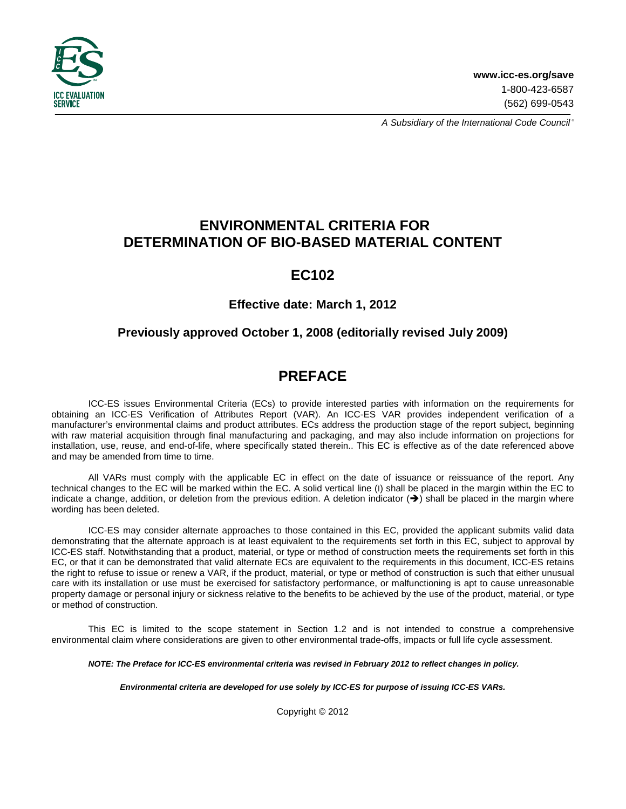

A Subsidiary of the International Code Council®

# **ENVIRONMENTAL CRITERIA FOR DETERMINATION OF BIO-BASED MATERIAL CONTENT**

# **EC102**

## **Effective date: March 1, 2012**

## **Previously approved October 1, 2008 (editorially revised July 2009)**

# **PREFACE**

ICC-ES issues Environmental Criteria (ECs) to provide interested parties with information on the requirements for obtaining an ICC-ES Verification of Attributes Report (VAR). An ICC-ES VAR provides independent verification of a manufacturer's environmental claims and product attributes. ECs address the production stage of the report subject, beginning with raw material acquisition through final manufacturing and packaging, and may also include information on projections for installation, use, reuse, and end-of-life, where specifically stated therein.. This EC is effective as of the date referenced above and may be amended from time to time.

All VARs must comply with the applicable EC in effect on the date of issuance or reissuance of the report. Any technical changes to the EC will be marked within the EC. A solid vertical line (I) shall be placed in the margin within the EC to indicate a change, addition, or deletion from the previous edition. A deletion indicator  $(\rightarrow)$  shall be placed in the margin where wording has been deleted.

ICC-ES may consider alternate approaches to those contained in this EC, provided the applicant submits valid data demonstrating that the alternate approach is at least equivalent to the requirements set forth in this EC, subject to approval by ICC-ES staff. Notwithstanding that a product, material, or type or method of construction meets the requirements set forth in this EC, or that it can be demonstrated that valid alternate ECs are equivalent to the requirements in this document, ICC-ES retains the right to refuse to issue or renew a VAR, if the product, material, or type or method of construction is such that either unusual care with its installation or use must be exercised for satisfactory performance, or malfunctioning is apt to cause unreasonable property damage or personal injury or sickness relative to the benefits to be achieved by the use of the product, material, or type or method of construction.

This EC is limited to the scope statement in Section 1.2 and is not intended to construe a comprehensive environmental claim where considerations are given to other environmental trade-offs, impacts or full life cycle assessment.

**NOTE: The Preface for ICC-ES environmental criteria was revised in February 2012 to reflect changes in policy.** 

**Environmental criteria are developed for use solely by ICC-ES for purpose of issuing ICC-ES VARs.**

Copyright © 2012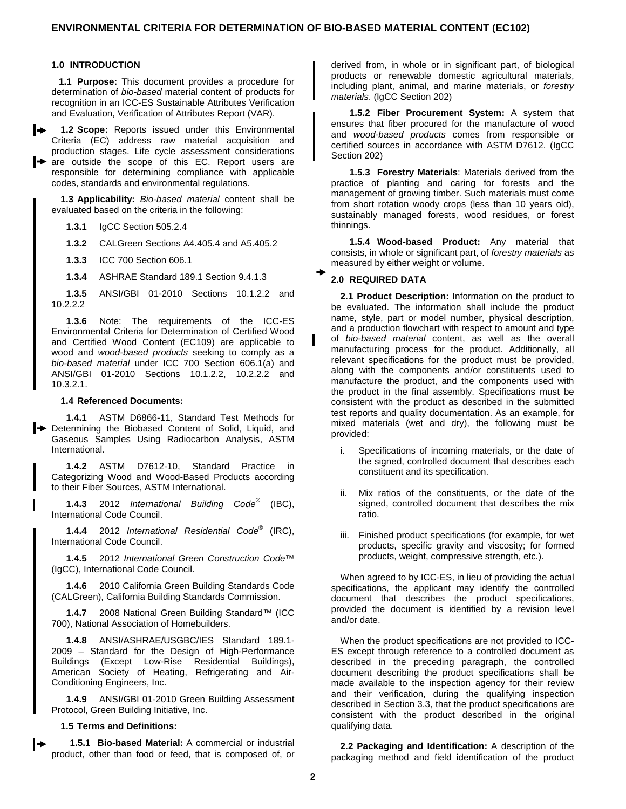### **1.0 INTRODUCTION**

**1.1 Purpose:** This document provides a procedure for determination of bio-based material content of products for recognition in an ICC-ES Sustainable Attributes Verification and Evaluation, Verification of Attributes Report (VAR).

l≁ **1.2 Scope:** Reports issued under this Environmental Criteria (EC) address raw material acquisition and production stages. Life cycle assessment considerations  $\rightarrow$  are outside the scope of this EC. Report users are responsible for determining compliance with applicable codes, standards and environmental regulations.

**1.3 Applicability:** Bio-based material content shall be evaluated based on the criteria in the following:

**1.3.1** IgCC Section 505.2.4

**1.3.2** CALGreen Sections A4.405.4 and A5.405.2

**1.3.3** ICC 700 Section 606.1

**1.3.4** ASHRAE Standard 189.1 Section 9.4.1.3

**1.3.5** ANSI/GBI 01-2010 Sections 10.1.2.2 and 10.2.2.2

**1.3.6** Note: The requirements of the ICC-ES Environmental Criteria for Determination of Certified Wood and Certified Wood Content (EC109) are applicable to wood and wood-based products seeking to comply as a bio-based material under ICC 700 Section 606.1(a) and ANSI/GBI 01-2010 Sections 10.1.2.2, 10.2.2.2 and 10.3.2.1.

#### **1.4 Referenced Documents:**

**1.4.1** ASTM D6866-11, Standard Test Methods for Determining the Biobased Content of Solid, Liquid, and Gaseous Samples Using Radiocarbon Analysis, ASTM International.

**1.4.2** ASTM D7612-10, Standard Practice in Categorizing Wood and Wood-Based Products according to their Fiber Sources, ASTM International.

**1.4.3** 2012 International Building Code® (IBC), International Code Council.

**1.4.4** 2012 International Residential Code® (IRC), International Code Council.

**1.4.5** 2012 International Green Construction Code™ (IgCC), International Code Council.

**1.4.6** 2010 California Green Building Standards Code (CALGreen), California Building Standards Commission.

**1.4.7** 2008 National Green Building Standard™ (ICC 700), National Association of Homebuilders.

**1.4.8** ANSI/ASHRAE/USGBC/IES Standard 189.1- 2009 – Standard for the Design of High-Performance Buildings (Except Low-Rise Residential Buildings), American Society of Heating, Refrigerating and Air-Conditioning Engineers, Inc.

**1.4.9** ANSI/GBI 01-2010 Green Building Assessment Protocol, Green Building Initiative, Inc.

#### **1.5 Terms and Definitions:**

**1.5.1 Bio-based Material:** A commercial or industrial product, other than food or feed, that is composed of, or derived from, in whole or in significant part, of biological products or renewable domestic agricultural materials, including plant, animal, and marine materials, or forestry materials. (IgCC Section 202)

**1.5.2 Fiber Procurement System:** A system that ensures that fiber procured for the manufacture of wood and wood-based products comes from responsible or certified sources in accordance with ASTM D7612. (IgCC Section 202)

**1.5.3 Forestry Materials**: Materials derived from the practice of planting and caring for forests and the management of growing timber. Such materials must come from short rotation woody crops (less than 10 years old), sustainably managed forests, wood residues, or forest thinnings.

**1.5.4 Wood-based Product:** Any material that consists, in whole or significant part, of forestry materials as measured by either weight or volume.

### **2.0 REQUIRED DATA**

**2.1 Product Description:** Information on the product to be evaluated. The information shall include the product name, style, part or model number, physical description, and a production flowchart with respect to amount and type of bio-based material content, as well as the overall manufacturing process for the product. Additionally, all relevant specifications for the product must be provided, along with the components and/or constituents used to manufacture the product, and the components used with the product in the final assembly. Specifications must be consistent with the product as described in the submitted test reports and quality documentation. As an example, for mixed materials (wet and dry), the following must be provided:

- i. Specifications of incoming materials, or the date of the signed, controlled document that describes each constituent and its specification.
- Mix ratios of the constituents, or the date of the signed, controlled document that describes the mix ratio.
- iii. Finished product specifications (for example, for wet products, specific gravity and viscosity; for formed products, weight, compressive strength, etc.).

When agreed to by ICC-ES, in lieu of providing the actual specifications, the applicant may identify the controlled document that describes the product specifications, provided the document is identified by a revision level and/or date.

When the product specifications are not provided to ICC-ES except through reference to a controlled document as described in the preceding paragraph, the controlled document describing the product specifications shall be made available to the inspection agency for their review and their verification, during the qualifying inspection described in Section 3.3, that the product specifications are consistent with the product described in the original qualifying data.

**2.2 Packaging and Identification:** A description of the packaging method and field identification of the product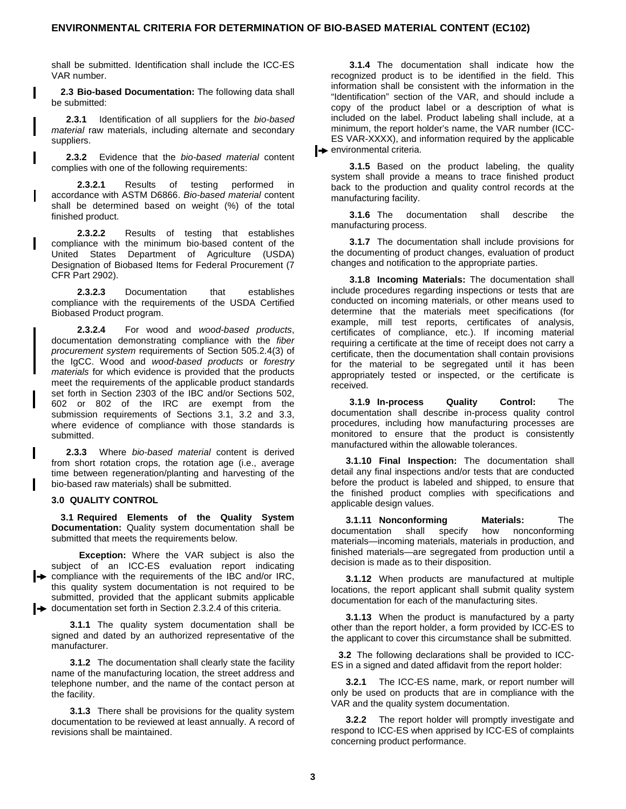shall be submitted. Identification shall include the ICC-ES VAR number.

**2.3 Bio-based Documentation:** The following data shall be submitted:

**2.3.1** Identification of all suppliers for the bio-based material raw materials, including alternate and secondary suppliers.

**2.3.2** Evidence that the bio-based material content complies with one of the following requirements:

**2.3.2.1** Results of testing performed in accordance with ASTM D6866. Bio-based material content shall be determined based on weight (%) of the total finished product.

**2.3.2.2** Results of testing that establishes compliance with the minimum bio-based content of the United States Department of Agriculture (USDA) Designation of Biobased Items for Federal Procurement (7 CFR Part 2902).

**2.3.2.3** Documentation that establishes compliance with the requirements of the USDA Certified Biobased Product program.

**2.3.2.4** For wood and wood-based products, documentation demonstrating compliance with the fiber procurement system requirements of Section 505.2.4(3) of the IgCC. Wood and wood-based products or forestry materials for which evidence is provided that the products meet the requirements of the applicable product standards set forth in Section 2303 of the IBC and/or Sections 502, 602 or 802 of the IRC are exempt from the submission requirements of Sections 3.1, 3.2 and 3.3, where evidence of compliance with those standards is submitted.

**2.3.3** Where bio-based material content is derived from short rotation crops, the rotation age (i.e., average time between regeneration/planting and harvesting of the bio-based raw materials) shall be submitted.

### **3.0 QUALITY CONTROL**

**3.1 Required Elements of the Quality System Documentation:** Quality system documentation shall be submitted that meets the requirements below.

 **Exception:** Where the VAR subject is also the subject of an ICC-ES evaluation report indicating  $\rightarrow$  compliance with the requirements of the IBC and/or IRC, this quality system documentation is not required to be submitted, provided that the applicant submits applicable  $\rightarrow$  documentation set forth in Section 2.3.2.4 of this criteria.

**3.1.1** The quality system documentation shall be signed and dated by an authorized representative of the manufacturer.

**3.1.2** The documentation shall clearly state the facility name of the manufacturing location, the street address and telephone number, and the name of the contact person at the facility.

**3.1.3** There shall be provisions for the quality system documentation to be reviewed at least annually. A record of revisions shall be maintained.

**3.1.4** The documentation shall indicate how the recognized product is to be identified in the field. This information shall be consistent with the information in the "Identification" section of the VAR, and should include a copy of the product label or a description of what is included on the label. Product labeling shall include, at a minimum, the report holder's name, the VAR number (ICC-ES VAR-XXXX), and information required by the applicable  $\rightarrow$  environmental criteria.

**3.1.5** Based on the product labeling, the quality system shall provide a means to trace finished product back to the production and quality control records at the manufacturing facility.

**3.1.6** The documentation shall describe the manufacturing process.

**3.1.7** The documentation shall include provisions for the documenting of product changes, evaluation of product changes and notification to the appropriate parties.

**3.1.8 Incoming Materials:** The documentation shall include procedures regarding inspections or tests that are conducted on incoming materials, or other means used to determine that the materials meet specifications (for example, mill test reports, certificates of analysis, certificates of compliance, etc.). If incoming material requiring a certificate at the time of receipt does not carry a certificate, then the documentation shall contain provisions for the material to be segregated until it has been appropriately tested or inspected, or the certificate is received.

**3.1.9 In-process Quality Control:** The documentation shall describe in-process quality control procedures, including how manufacturing processes are monitored to ensure that the product is consistently manufactured within the allowable tolerances.

**3.1.10 Final Inspection:** The documentation shall detail any final inspections and/or tests that are conducted before the product is labeled and shipped, to ensure that the finished product complies with specifications and applicable design values.

**3.1.11 Nonconforming Materials:** The documentation shall specify how nonconforming materials—incoming materials, materials in production, and finished materials—are segregated from production until a decision is made as to their disposition.

**3.1.12** When products are manufactured at multiple locations, the report applicant shall submit quality system documentation for each of the manufacturing sites.

**3.1.13** When the product is manufactured by a party other than the report holder, a form provided by ICC-ES to the applicant to cover this circumstance shall be submitted.

**3.2** The following declarations shall be provided to ICC-ES in a signed and dated affidavit from the report holder:

**3.2.1** The ICC-ES name, mark, or report number will only be used on products that are in compliance with the VAR and the quality system documentation.

**3.2.2** The report holder will promptly investigate and respond to ICC-ES when apprised by ICC-ES of complaints concerning product performance.